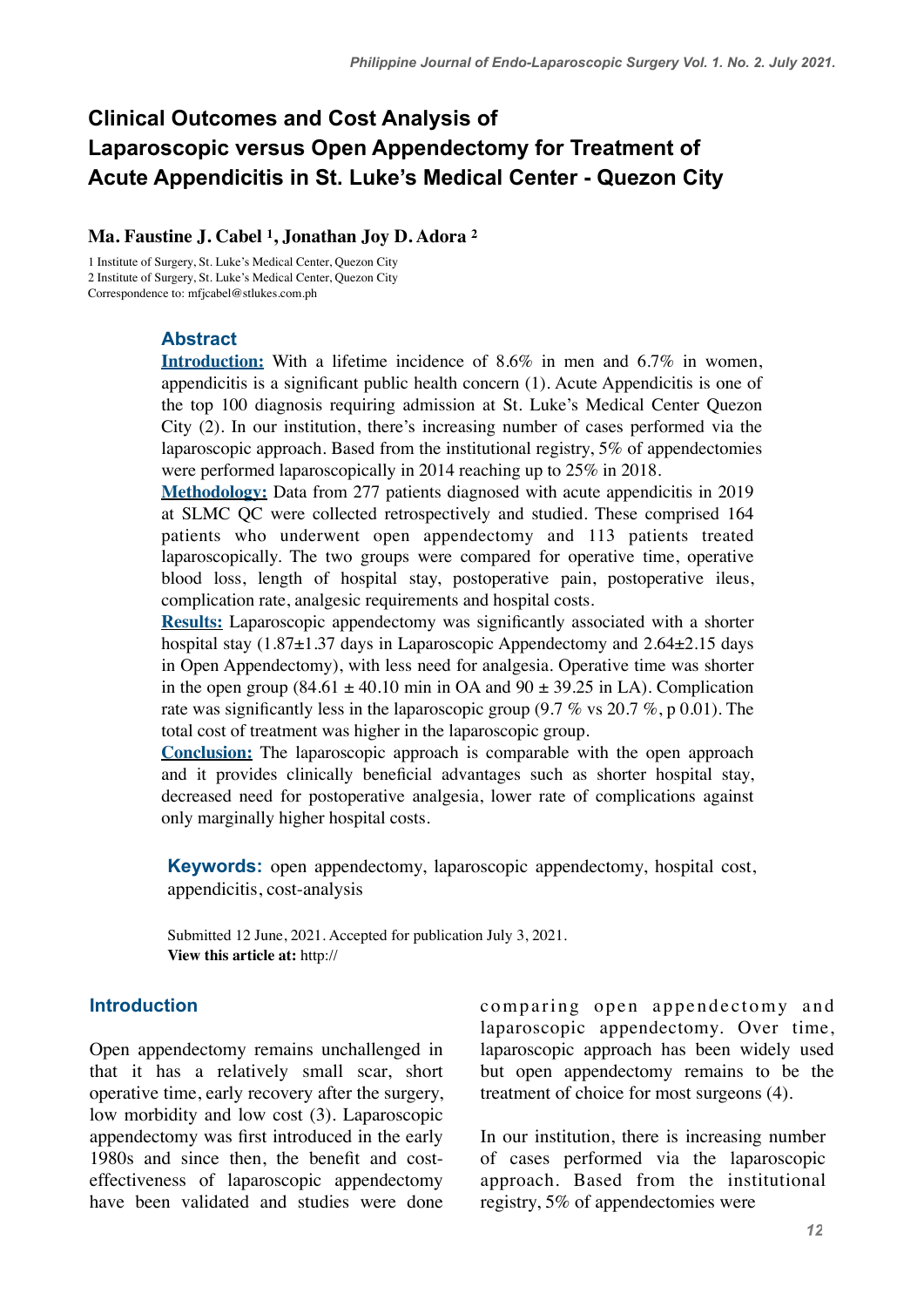# **Clinical Outcomes and Cost Analysis of Laparoscopic versus Open Appendectomy for Treatment of Acute Appendicitis in St. Luke's Medical Center - Quezon City**

### **Ma. Faustine J. Cabel 1, Jonathan Joy D. Adora 2**

1 Institute of Surgery, St. Luke's Medical Center, Quezon City 2 Institute of Surgery, St. Luke's Medical Center, Quezon City Correspondence to: [mfjcabel@stlukes.com.ph](mailto:mfjcabel@stlukes.com.ph)

### **Abstract**

**Introduction:** With a lifetime incidence of 8.6% in men and 6.7% in women, appendicitis is a significant public health concern (1). Acute Appendicitis is one of the top 100 diagnosis requiring admission at St. Luke's Medical Center Quezon City (2). In our institution, there's increasing number of cases performed via the laparoscopic approach. Based from the institutional registry, 5% of appendectomies were performed laparoscopically in 2014 reaching up to 25% in 2018.

**Methodology:** Data from 277 patients diagnosed with acute appendicitis in 2019 at SLMC QC were collected retrospectively and studied. These comprised 164 patients who underwent open appendectomy and 113 patients treated laparoscopically. The two groups were compared for operative time, operative blood loss, length of hospital stay, postoperative pain, postoperative ileus, complication rate, analgesic requirements and hospital costs.

**Results:** Laparoscopic appendectomy was significantly associated with a shorter hospital stay (1.87 $\pm$ 1.37 days in Laparoscopic Appendectomy and 2.64 $\pm$ 2.15 days in Open Appendectomy), with less need for analgesia. Operative time was shorter in the open group (84.61  $\pm$  40.10 min in OA and 90  $\pm$  39.25 in LA). Complication rate was significantly less in the laparoscopic group (9.7 % vs 20.7 %, p 0.01). The total cost of treatment was higher in the laparoscopic group.

**Conclusion:** The laparoscopic approach is comparable with the open approach and it provides clinically beneficial advantages such as shorter hospital stay, decreased need for postoperative analgesia, lower rate of complications against only marginally higher hospital costs.

**Keywords:** open appendectomy, laparoscopic appendectomy, hospital cost, appendicitis, cost-analysis

Submitted 12 June, 2021. Accepted for publication July 3, 2021. **View this article at:** http://

### **Introduction**

Open appendectomy remains unchallenged in that it has a relatively small scar, short operative time, early recovery after the surgery, low morbidity and low cost (3). Laparoscopic appendectomy was first introduced in the early 1980s and since then, the benefit and costeffectiveness of laparoscopic appendectomy have been validated and studies were done comparing open appendectomy and laparoscopic appendectomy. Over time, laparoscopic approach has been widely used but open appendectomy remains to be the treatment of choice for most surgeons (4).

In our institution, there is increasing number of cases performed via the laparoscopic approach. Based from the institutional registry, 5% of appendectomies were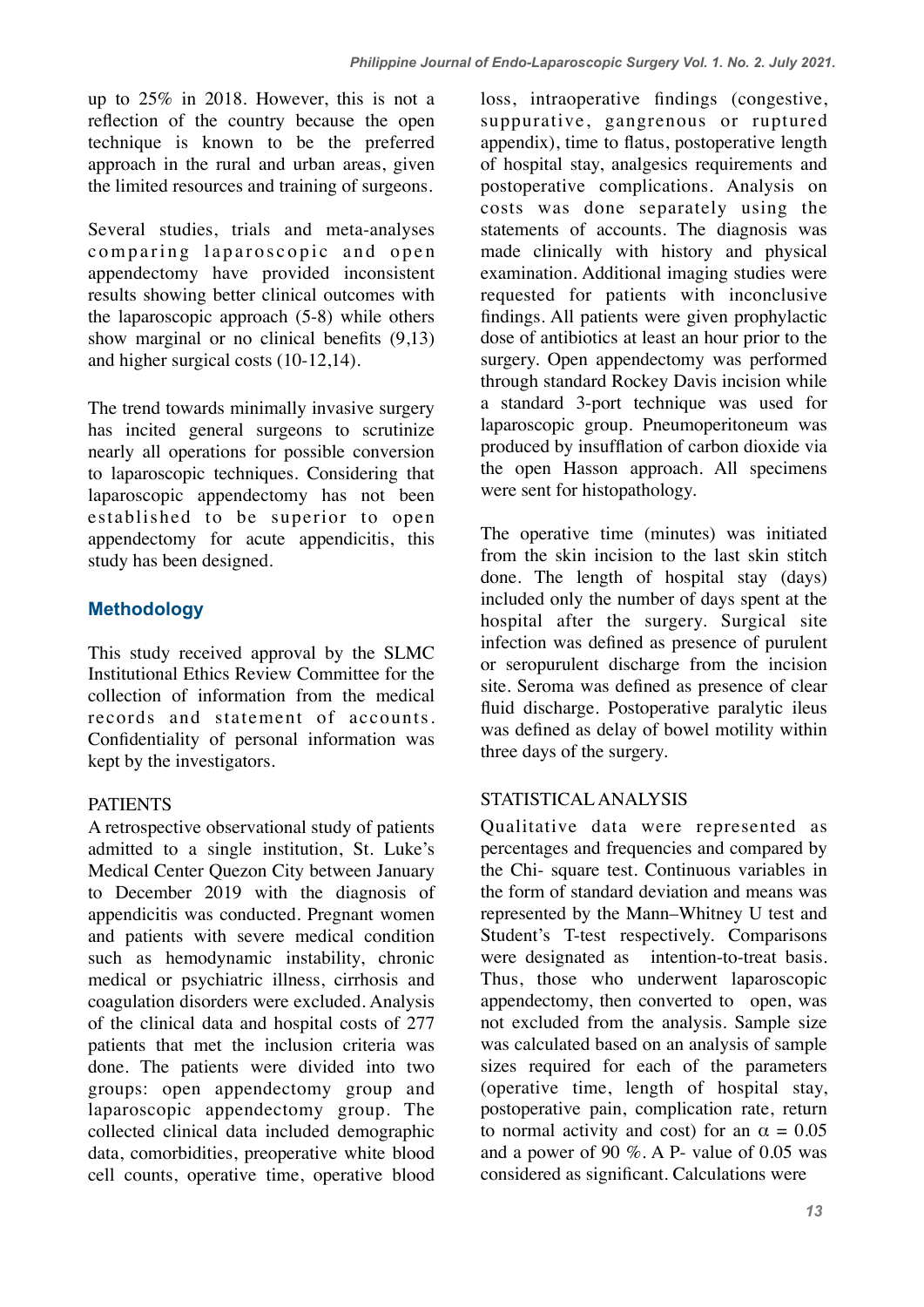up to 25% in 2018. However, this is not a reflection of the country because the open technique is known to be the preferred approach in the rural and urban areas, given the limited resources and training of surgeons.

Several studies, trials and meta-analyses comparing laparoscopic and open appendectomy have provided inconsistent results showing better clinical outcomes with the laparoscopic approach (5-8) while others show marginal or no clinical benefits (9,13) and higher surgical costs (10-12,14).

The trend towards minimally invasive surgery has incited general surgeons to scrutinize nearly all operations for possible conversion to laparoscopic techniques. Considering that laparoscopic appendectomy has not been established to be superior to open appendectomy for acute appendicitis, this study has been designed.

## **Methodology**

This study received approval by the SLMC Institutional Ethics Review Committee for the collection of information from the medical records and statement of accounts. Confidentiality of personal information was kept by the investigators.

## PATIENTS

A retrospective observational study of patients admitted to a single institution, St. Luke's Medical Center Quezon City between January to December 2019 with the diagnosis of appendicitis was conducted. Pregnant women and patients with severe medical condition such as hemodynamic instability, chronic medical or psychiatric illness, cirrhosis and coagulation disorders were excluded. Analysis of the clinical data and hospital costs of 277 patients that met the inclusion criteria was done. The patients were divided into two groups: open appendectomy group and laparoscopic appendectomy group. The collected clinical data included demographic data, comorbidities, preoperative white blood cell counts, operative time, operative blood loss, intraoperative findings (congestive, suppurative, gangrenous or ruptured appendix), time to flatus, postoperative length of hospital stay, analgesics requirements and postoperative complications. Analysis on costs was done separately using the statements of accounts. The diagnosis was made clinically with history and physical examination. Additional imaging studies were requested for patients with inconclusive findings. All patients were given prophylactic dose of antibiotics at least an hour prior to the surgery. Open appendectomy was performed through standard Rockey Davis incision while a standard 3-port technique was used for laparoscopic group. Pneumoperitoneum was produced by insufflation of carbon dioxide via the open Hasson approach. All specimens were sent for histopathology.

The operative time (minutes) was initiated from the skin incision to the last skin stitch done. The length of hospital stay (days) included only the number of days spent at the hospital after the surgery. Surgical site infection was defined as presence of purulent or seropurulent discharge from the incision site. Seroma was defined as presence of clear fluid discharge. Postoperative paralytic ileus was defined as delay of bowel motility within three days of the surgery.

## STATISTICAL ANALYSIS

Qualitative data were represented as percentages and frequencies and compared by the Chi- square test. Continuous variables in the form of standard deviation and means was represented by the Mann–Whitney U test and Student's T-test respectively. Comparisons were designated as intention-to-treat basis. Thus, those who underwent laparoscopic appendectomy, then converted to open, was not excluded from the analysis. Sample size was calculated based on an analysis of sample sizes required for each of the parameters (operative time, length of hospital stay, postoperative pain, complication rate, return to normal activity and cost) for an  $\alpha = 0.05$ and a power of 90 %. A P- value of 0.05 was considered as significant. Calculations were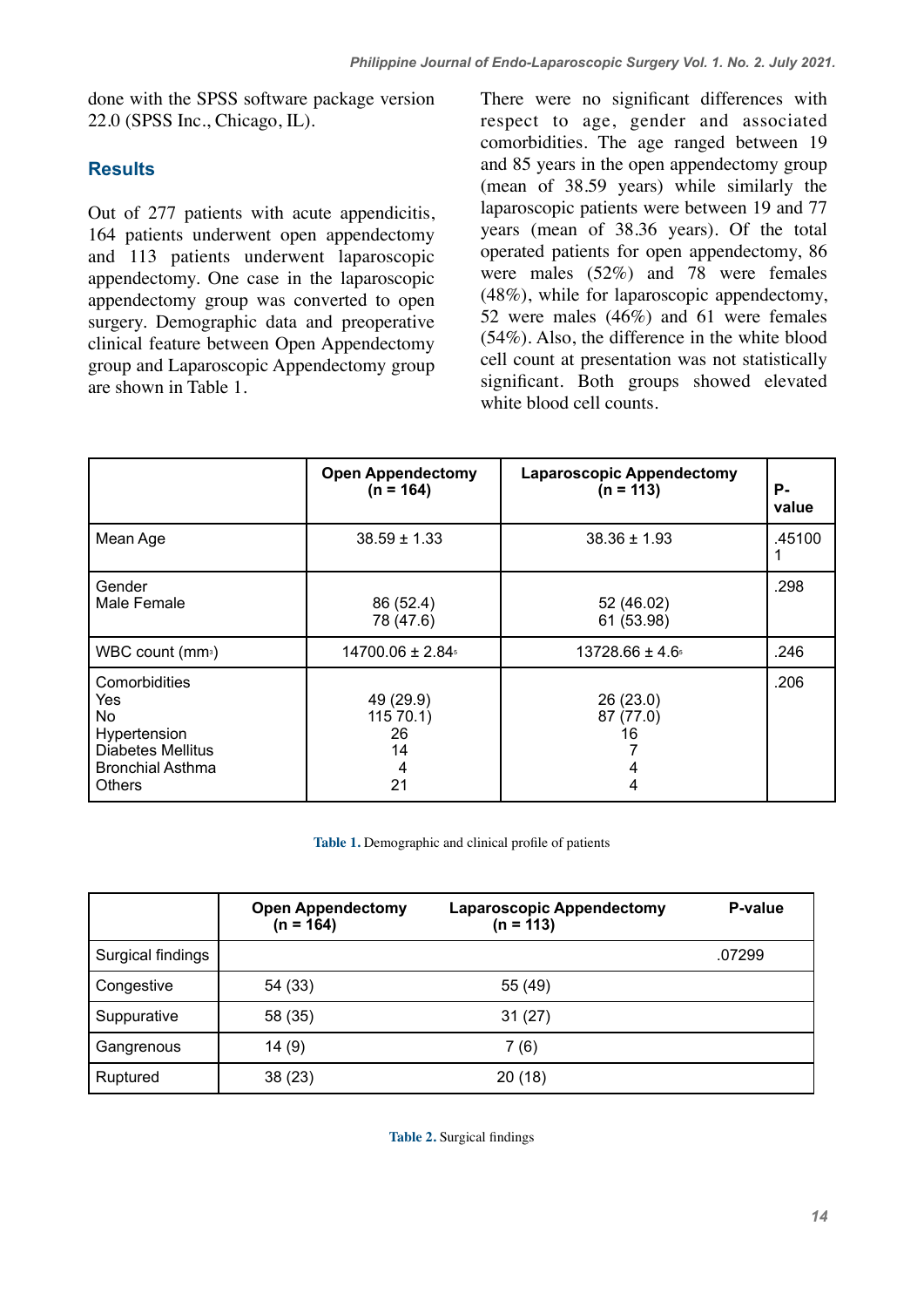done with the SPSS software package version 22.0 (SPSS Inc., Chicago, IL).

## **Results**

Out of 277 patients with acute appendicitis, 164 patients underwent open appendectomy and 113 patients underwent laparoscopic appendectomy. One case in the laparoscopic appendectomy group was converted to open surgery. Demographic data and preoperative clinical feature between Open Appendectomy group and Laparoscopic Appendectomy group are shown in Table 1.

There were no significant differences with respect to age, gender and associated comorbidities. The age ranged between 19 and 85 years in the open appendectomy group (mean of 38.59 years) while similarly the laparoscopic patients were between 19 and 77 years (mean of 38.36 years). Of the total operated patients for open appendectomy, 86 were males (52%) and 78 were females (48%), while for laparoscopic appendectomy, 52 were males (46%) and 61 were females (54%). Also, the difference in the white blood cell count at presentation was not statistically significant. Both groups showed elevated white blood cell counts.

|                                                                                                              | <b>Open Appendectomy</b><br>$(n = 164)$     | <b>Laparoscopic Appendectomy</b><br>$(n = 113)$ | Р.<br>value |
|--------------------------------------------------------------------------------------------------------------|---------------------------------------------|-------------------------------------------------|-------------|
| Mean Age                                                                                                     | $38.59 \pm 1.33$                            | $38.36 \pm 1.93$                                | .45100      |
| Gender<br>Male Female                                                                                        | 86 (52.4)<br>78 (47.6)                      | 52 (46.02)<br>61 (53.98)                        | .298        |
| WBC count (mm <sup>3</sup> )                                                                                 | $14700.06 \pm 2.84$                         | $13728.66 \pm 4.6$                              | .246        |
| Comorbidities<br>Yes<br>No.<br>Hypertension<br>Diabetes Mellitus<br><b>Bronchial Asthma</b><br><b>Others</b> | 49 (29.9)<br>11570.1<br>26<br>14<br>4<br>21 | 26(23.0)<br>87 (77.0)<br>16<br>4                | .206        |

**Table 1.** Demographic and clinical profile of patients

|                   | <b>Open Appendectomy</b><br>$(n = 164)$ | <b>Laparoscopic Appendectomy</b><br>$(n = 113)$ | P-value |
|-------------------|-----------------------------------------|-------------------------------------------------|---------|
| Surgical findings |                                         |                                                 | .07299  |
| Congestive        | 54 (33)                                 | 55 (49)                                         |         |
| Suppurative       | 58 (35)                                 | 31(27)                                          |         |
| Gangrenous        | 14(9)                                   | 7(6)                                            |         |
| Ruptured          | 38(23)                                  | 20 (18)                                         |         |

**Table 2.** Surgical findings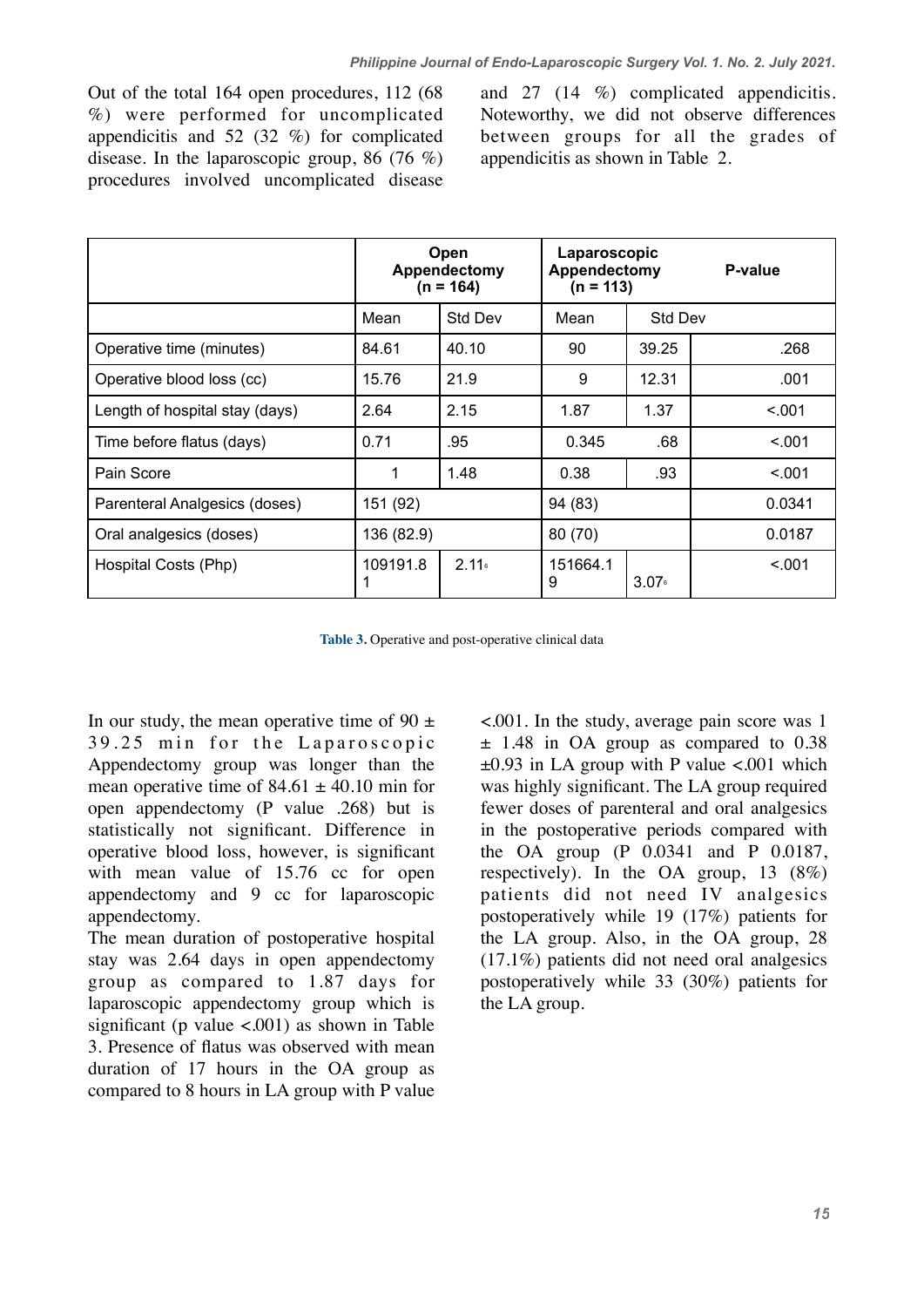Out of the total 164 open procedures, 112 (68 %) were performed for uncomplicated appendicitis and 52 (32 %) for complicated disease. In the laparoscopic group, 86 (76 %) procedures involved uncomplicated disease

and 27 (14 %) complicated appendicitis. Noteworthy, we did not observe differences between groups for all the grades of appendicitis as shown in Table 2.

|                                | <b>Open</b><br>Appendectomy<br>$(n = 164)$ |                   | Laparoscopic<br>Appendectomy<br>(n = 113) |                   | P-value |
|--------------------------------|--------------------------------------------|-------------------|-------------------------------------------|-------------------|---------|
|                                | Mean                                       | <b>Std Dev</b>    | Mean                                      | <b>Std Dev</b>    |         |
| Operative time (minutes)       | 84.61                                      | 40.10             | 90                                        | 39.25             | .268    |
| Operative blood loss (cc)      | 15.76                                      | 21.9              | 9                                         | 12.31             | .001    |
| Length of hospital stay (days) | 2.64                                       | 2.15              | 1.87                                      | 1.37              | < 0.01  |
| Time before flatus (days)      | 0.71                                       | .95               | 0.345                                     | .68               | < 0.01  |
| Pain Score                     | 1                                          | 1.48              | 0.38                                      | .93               | < 0.001 |
| Parenteral Analgesics (doses)  | 151 (92)                                   |                   | 94 (83)                                   |                   | 0.0341  |
| Oral analgesics (doses)        | 136 (82.9)                                 |                   | 80 (70)                                   |                   | 0.0187  |
| Hospital Costs (Php)           | 109191.8                                   | 2.11 <sub>6</sub> | 151664.1<br>9                             | 3.07 <sub>6</sub> | < 0.001 |

**Table 3.** Operative and post-operative clinical data

In our study, the mean operative time of 90  $\pm$ 39.25 min for the Laparoscopic Appendectomy group was longer than the mean operative time of  $84.61 \pm 40.10$  min for open appendectomy (P value .268) but is statistically not significant. Difference in operative blood loss, however, is significant with mean value of 15.76 cc for open appendectomy and 9 cc for laparoscopic appendectomy.

The mean duration of postoperative hospital stay was 2.64 days in open appendectomy group as compared to 1.87 days for laparoscopic appendectomy group which is significant (p value  $\langle 0.001 \rangle$  as shown in Table 3. Presence of flatus was observed with mean duration of 17 hours in the OA group as compared to 8 hours in LA group with P value <.001. In the study, average pain score was 1 ± 1.48 in OA group as compared to 0.38  $\pm 0.93$  in LA group with P value <.001 which was highly significant. The LA group required fewer doses of parenteral and oral analgesics in the postoperative periods compared with the OA group (P 0.0341 and P 0.0187, respectively). In the OA group, 13 (8%) patients did not need IV analgesics postoperatively while 19 (17%) patients for the LA group. Also, in the OA group, 28 (17.1%) patients did not need oral analgesics postoperatively while 33 (30%) patients for the LA group.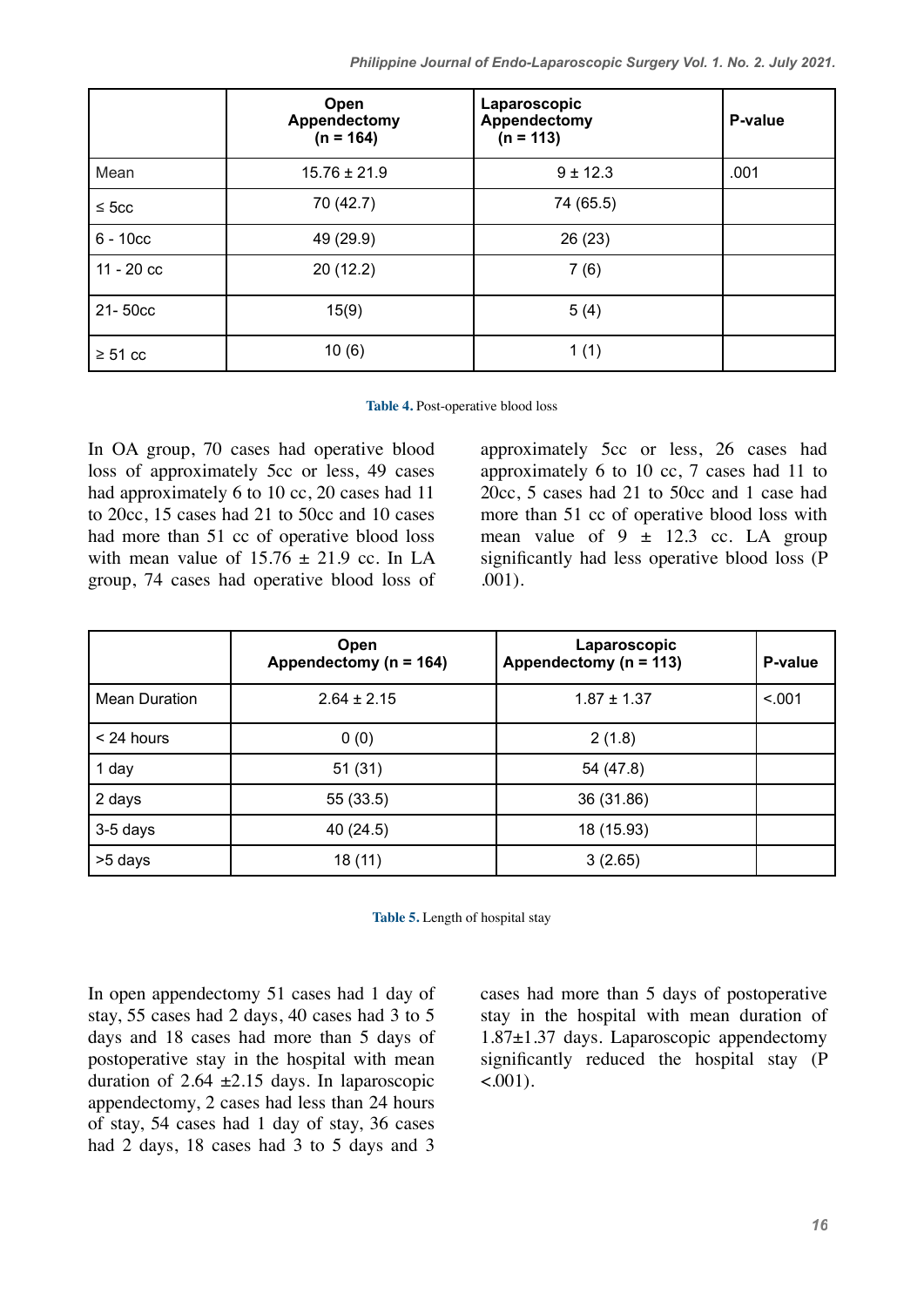|              | Open<br>Appendectomy<br>$(n = 164)$ | Laparoscopic<br>Appendectomy<br>$(n = 113)$ | P-value |
|--------------|-------------------------------------|---------------------------------------------|---------|
| Mean         | $15.76 \pm 21.9$                    | $9 \pm 12.3$                                | .001    |
| $\leq$ 5cc   | 70 (42.7)                           | 74 (65.5)                                   |         |
| $6 - 10cc$   | 49 (29.9)                           | 26(23)                                      |         |
| $11 - 20$ cc | 20(12.2)                            | 7(6)                                        |         |
| 21-50cc      | 15(9)                               | 5(4)                                        |         |
| $\geq 51$ cc | 10(6)                               | 1(1)                                        |         |

**Table 4.** Post-operative blood loss

In OA group, 70 cases had operative blood loss of approximately 5cc or less, 49 cases had approximately 6 to 10 cc, 20 cases had 11 to 20cc, 15 cases had 21 to 50cc and 10 cases had more than 51 cc of operative blood loss with mean value of  $15.76 \pm 21.9$  cc. In LA group, 74 cases had operative blood loss of approximately 5cc or less, 26 cases had approximately 6 to 10 cc, 7 cases had 11 to 20cc, 5 cases had 21 to 50cc and 1 case had more than 51 cc of operative blood loss with mean value of  $9 \pm 12.3$  cc. LA group significantly had less operative blood loss (P .001).

|                      | Open<br>Appendectomy ( $n = 164$ ) | Laparoscopic<br>Appendectomy (n = 113) | P-value |
|----------------------|------------------------------------|----------------------------------------|---------|
| <b>Mean Duration</b> | $2.64 \pm 2.15$                    | $1.87 \pm 1.37$                        | < 0.01  |
| < 24 hours           | 0(0)                               | 2(1.8)                                 |         |
| 1 day                | 51(31)                             | 54 (47.8)                              |         |
| 2 days               | 55 (33.5)                          | 36 (31.86)                             |         |
| 3-5 days             | 40 (24.5)                          | 18 (15.93)                             |         |
| >5 days              | 18 (11)                            | 3(2.65)                                |         |

**Table 5.** Length of hospital stay

In open appendectomy 51 cases had 1 day of stay, 55 cases had 2 days, 40 cases had 3 to 5 days and 18 cases had more than 5 days of postoperative stay in the hospital with mean duration of 2.64  $\pm$ 2.15 days. In laparoscopic appendectomy, 2 cases had less than 24 hours of stay, 54 cases had 1 day of stay, 36 cases had 2 days, 18 cases had 3 to 5 days and 3 cases had more than 5 days of postoperative stay in the hospital with mean duration of 1.87±1.37 days. Laparoscopic appendectomy significantly reduced the hospital stay (P  $<.001$ ).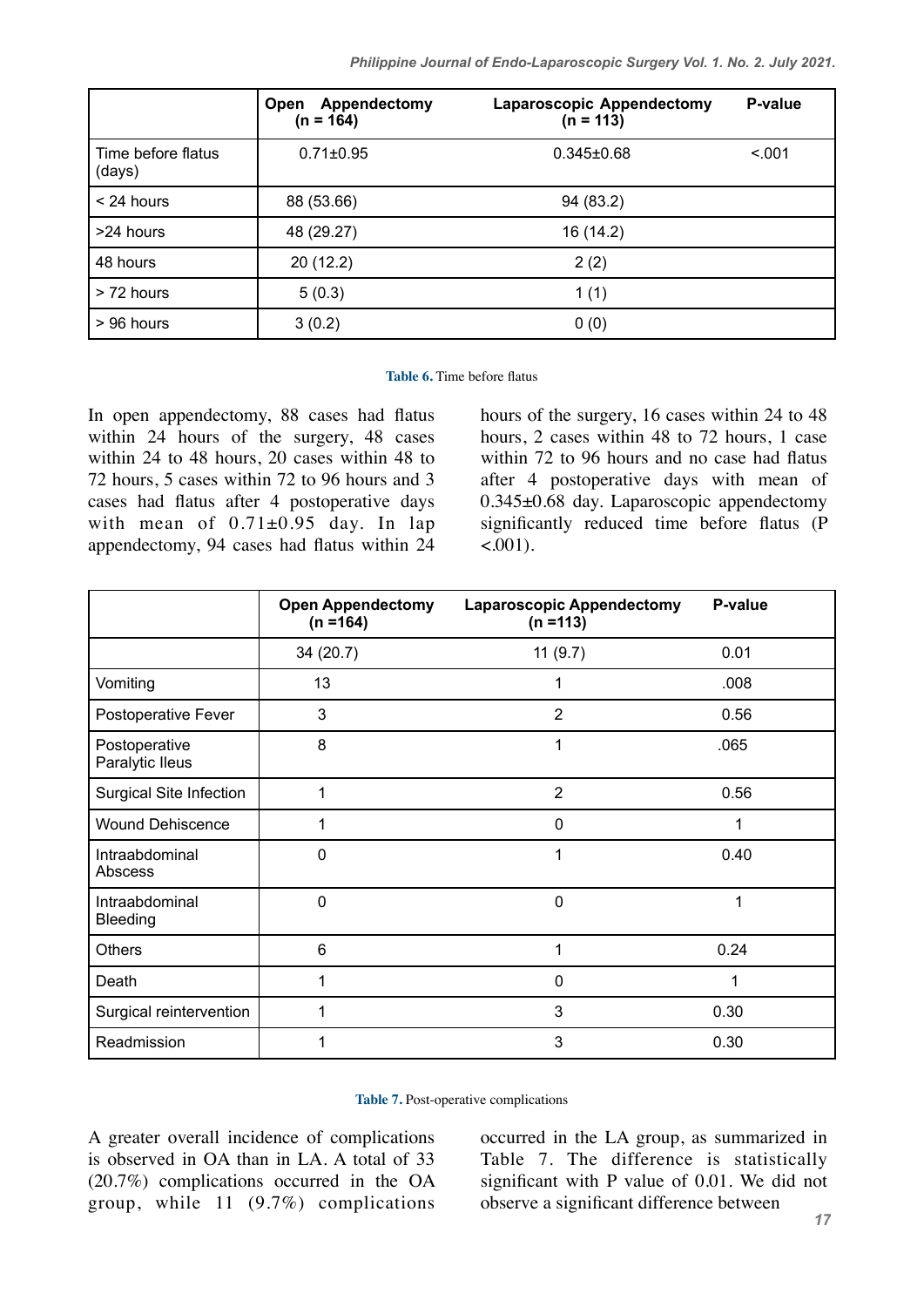*Philippine Journal of Endo-Laparoscopic Surgery Vol. 1. No. 2. July 2021.*

|                              | Appendectomy<br><b>Open</b><br>$(n = 164)$ | <b>Laparoscopic Appendectomy</b><br>$(n = 113)$ | P-value |
|------------------------------|--------------------------------------------|-------------------------------------------------|---------|
| Time before flatus<br>(days) | $0.71 \pm 0.95$                            | $0.345 \pm 0.68$                                | < 0.01  |
| $<$ 24 hours                 | 88 (53.66)                                 | 94 (83.2)                                       |         |
| >24 hours                    | 48 (29.27)                                 | 16 (14.2)                                       |         |
| 48 hours                     | 20(12.2)                                   | 2(2)                                            |         |
| > 72 hours                   | 5(0.3)                                     | 1(1)                                            |         |
| $> 96$ hours                 | 3(0.2)                                     | 0(0)                                            |         |

#### **Table 6.** Time before flatus

In open appendectomy, 88 cases had flatus within 24 hours of the surgery, 48 cases within 24 to 48 hours, 20 cases within 48 to 72 hours, 5 cases within 72 to 96 hours and 3 cases had flatus after 4 postoperative days with mean of  $0.71\pm0.95$  day. In lap appendectomy, 94 cases had flatus within 24 hours of the surgery, 16 cases within 24 to 48 hours, 2 cases within 48 to 72 hours, 1 case within 72 to 96 hours and no case had flatus after 4 postoperative days with mean of 0.345±0.68 day. Laparoscopic appendectomy significantly reduced time before flatus (P  $<.001$ ).

|                                   | <b>Open Appendectomy</b><br>$(n = 164)$ | <b>Laparoscopic Appendectomy</b><br>$(n = 113)$ | P-value |
|-----------------------------------|-----------------------------------------|-------------------------------------------------|---------|
|                                   | 34(20.7)                                | 11(9.7)                                         | 0.01    |
| Vomiting                          | 13                                      | 1                                               | .008    |
| Postoperative Fever               | 3                                       | $\overline{2}$                                  | 0.56    |
| Postoperative<br>Paralytic Ileus  | 8                                       | 1                                               | .065    |
| <b>Surgical Site Infection</b>    | 1                                       | 2                                               | 0.56    |
| <b>Wound Dehiscence</b>           | 1                                       | 0                                               |         |
| Intraabdominal<br>Abscess         | 0                                       | 1                                               | 0.40    |
| Intraabdominal<br><b>Bleeding</b> | $\mathbf 0$                             | 0                                               | 1       |
| <b>Others</b>                     | 6                                       | 1                                               | 0.24    |
| Death                             | 1                                       | 0                                               | 1       |
| Surgical reintervention           | 1                                       | 3                                               | 0.30    |
| Readmission                       | 1                                       | 3                                               | 0.30    |

**Table 7.** Post-operative complications

A greater overall incidence of complications is observed in OA than in LA. A total of 33 (20.7%) complications occurred in the OA group, while 11 (9.7%) complications occurred in the LA group, as summarized in Table 7. The difference is statistically significant with P value of 0.01. We did not observe a significant difference between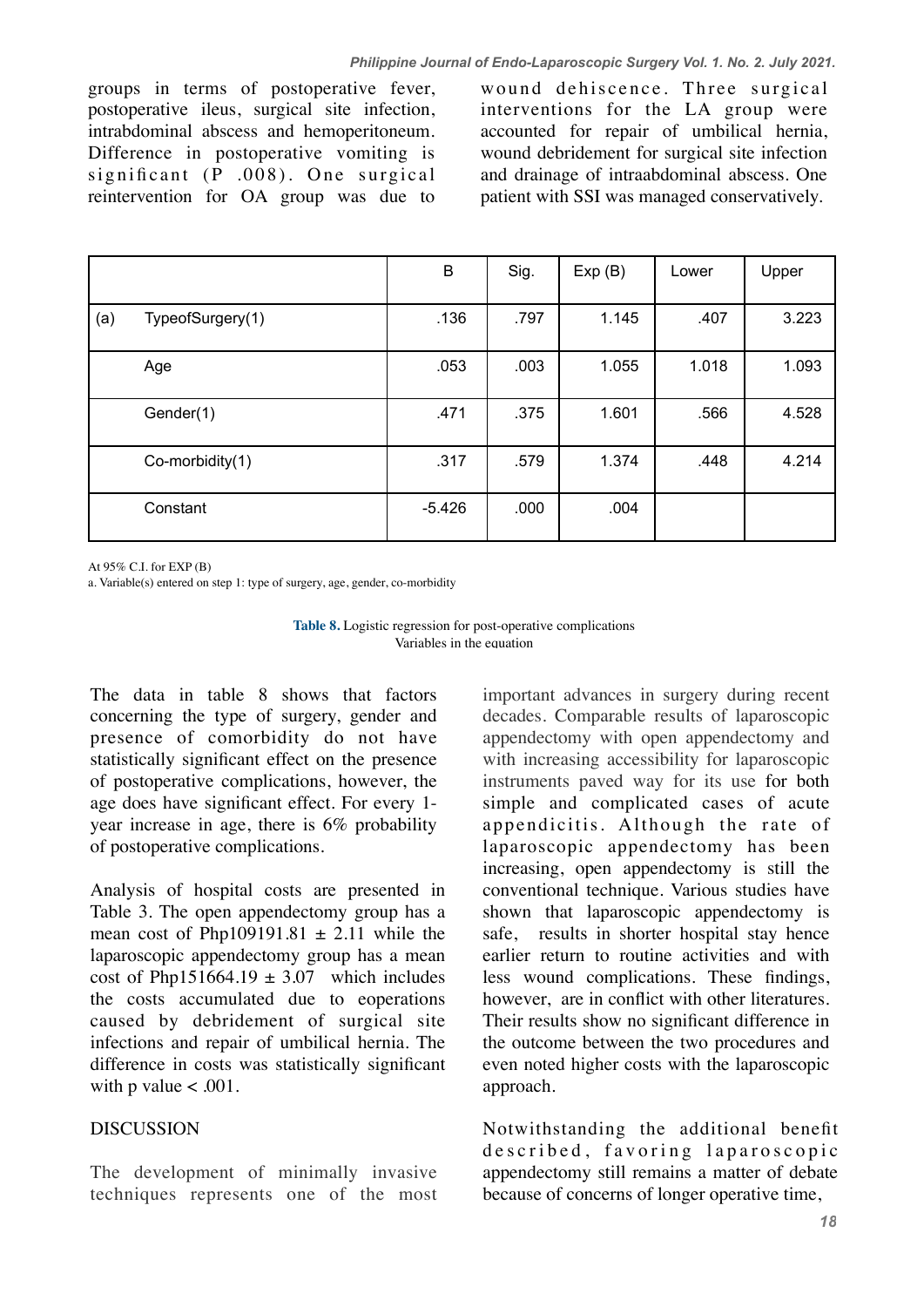groups in terms of postoperative fever, postoperative ileus, surgical site infection, intrabdominal abscess and hemoperitoneum. Difference in postoperative vomiting is significant  $(P$  .008). One surgical reintervention for OA group was due to

wound dehiscence. Three surgical interventions for the LA group were accounted for repair of umbilical hernia, wound debridement for surgical site infection and drainage of intraabdominal abscess. One patient with SSI was managed conservatively.

|     |                  | B        | Sig. | Exp(B) | Lower | Upper |
|-----|------------------|----------|------|--------|-------|-------|
| (a) | TypeofSurgery(1) | .136     | .797 | 1.145  | .407  | 3.223 |
|     | Age              | .053     | .003 | 1.055  | 1.018 | 1.093 |
|     | Gender(1)        | .471     | .375 | 1.601  | .566  | 4.528 |
|     | Co-morbidity(1)  | .317     | .579 | 1.374  | .448  | 4.214 |
|     | Constant         | $-5.426$ | .000 | .004   |       |       |

At 95% C.I. for EXP (B)

a. Variable(s) entered on step 1: type of surgery, age, gender, co-morbidity



The data in table 8 shows that factors concerning the type of surgery, gender and presence of comorbidity do not have statistically significant effect on the presence of postoperative complications, however, the age does have significant effect. For every 1 year increase in age, there is 6% probability of postoperative complications.

Analysis of hospital costs are presented in Table 3. The open appendectomy group has a mean cost of Php109191.81  $\pm$  2.11 while the laparoscopic appendectomy group has a mean cost of Php151664.19  $\pm$  3.07 which includes the costs accumulated due to eoperations caused by debridement of surgical site infections and repair of umbilical hernia. The difference in costs was statistically significant with p value  $< .001$ .

### **DISCUSSION**

The development of minimally invasive techniques represents one of the most important advances in surgery during recent decades. Comparable results of laparoscopic appendectomy with open appendectomy and with increasing accessibility for laparoscopic instruments paved way for its use for both simple and complicated cases of acute appendicitis. Although the rate of laparoscopic appendectomy has been increasing, open appendectomy is still the conventional technique. Various studies have shown that laparoscopic appendectomy is safe, results in shorter hospital stay hence earlier return to routine activities and with less wound complications. These findings, however, are in conflict with other literatures. Their results show no significant difference in the outcome between the two procedures and even noted higher costs with the laparoscopic approach.

Notwithstanding the additional benefit described, favoring laparoscopic appendectomy still remains a matter of debate because of concerns of longer operative time,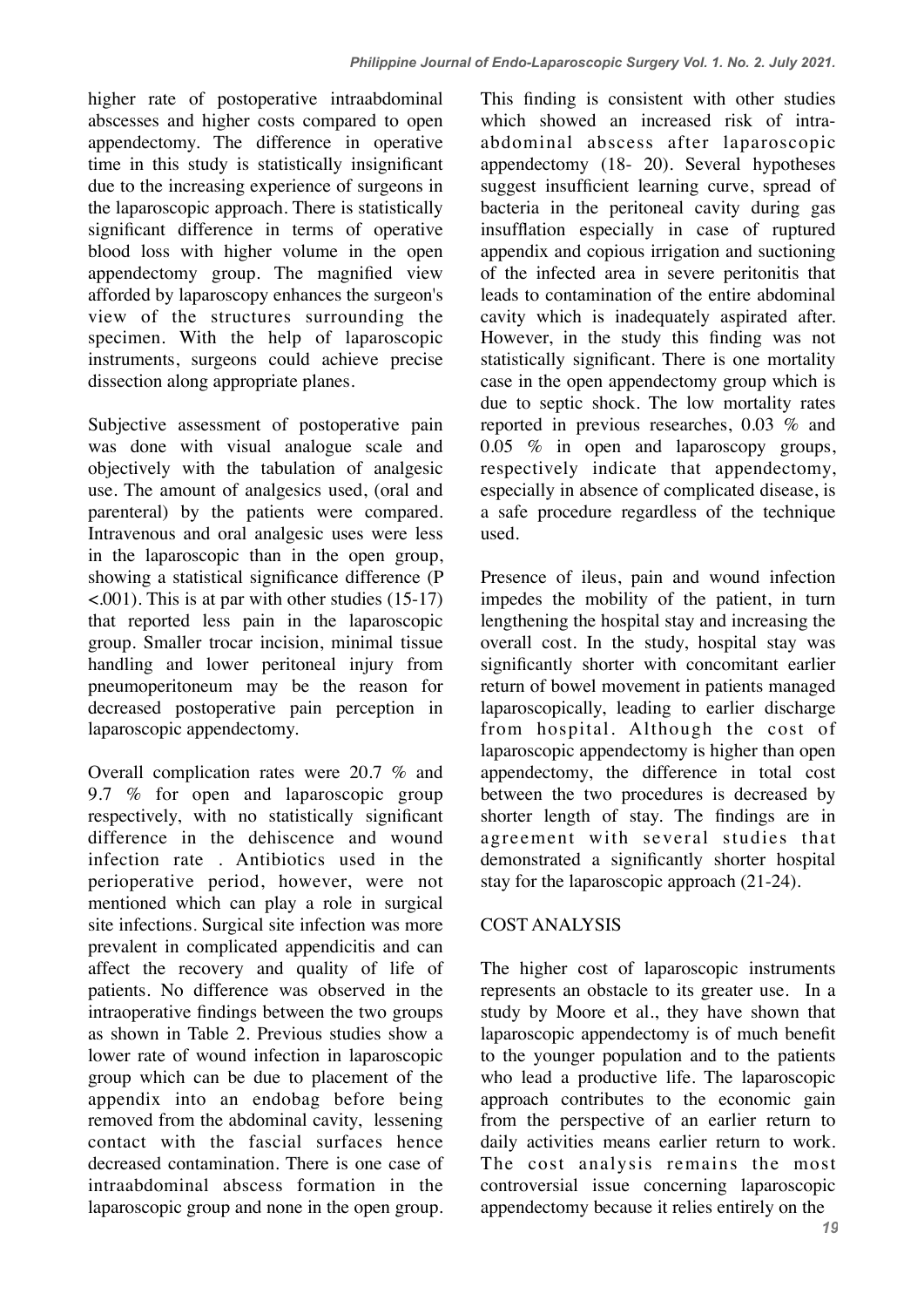higher rate of postoperative intraabdominal abscesses and higher costs compared to open appendectomy. The difference in operative time in this study is statistically insignificant due to the increasing experience of surgeons in the laparoscopic approach. There is statistically significant difference in terms of operative blood loss with higher volume in the open appendectomy group. The magnified view afforded by laparoscopy enhances the surgeon's view of the structures surrounding the specimen. With the help of laparoscopic instruments, surgeons could achieve precise dissection along appropriate planes.

Subjective assessment of postoperative pain was done with visual analogue scale and objectively with the tabulation of analgesic use. The amount of analgesics used, (oral and parenteral) by the patients were compared. Intravenous and oral analgesic uses were less in the laparoscopic than in the open group, showing a statistical significance difference (P  $\leq$ .001). This is at par with other studies (15-17) that reported less pain in the laparoscopic group. Smaller trocar incision, minimal tissue handling and lower peritoneal injury from pneumoperitoneum may be the reason for decreased postoperative pain perception in laparoscopic appendectomy.

Overall complication rates were 20.7 % and 9.7 % for open and laparoscopic group respectively, with no statistically significant difference in the dehiscence and wound infection rate . Antibiotics used in the perioperative period, however, were not mentioned which can play a role in surgical site infections. Surgical site infection was more prevalent in complicated appendicitis and can affect the recovery and quality of life of patients. No difference was observed in the intraoperative findings between the two groups as shown in Table 2. Previous studies show a lower rate of wound infection in laparoscopic group which can be due to placement of the appendix into an endobag before being removed from the abdominal cavity, lessening contact with the fascial surfaces hence decreased contamination. There is one case of intraabdominal abscess formation in the laparoscopic group and none in the open group. This finding is consistent with other studies which showed an increased risk of intraabdominal abscess after laparoscopic appendectomy (18- 20). Several hypotheses suggest insufficient learning curve, spread of bacteria in the peritoneal cavity during gas insufflation especially in case of ruptured appendix and copious irrigation and suctioning of the infected area in severe peritonitis that leads to contamination of the entire abdominal cavity which is inadequately aspirated after. However, in the study this finding was not statistically significant. There is one mortality case in the open appendectomy group which is due to septic shock. The low mortality rates reported in previous researches, 0.03 % and 0.05 % in open and laparoscopy groups, respectively indicate that appendectomy, especially in absence of complicated disease, is a safe procedure regardless of the technique used.

Presence of ileus, pain and wound infection impedes the mobility of the patient, in turn lengthening the hospital stay and increasing the overall cost. In the study, hospital stay was significantly shorter with concomitant earlier return of bowel movement in patients managed laparoscopically, leading to earlier discharge from hospital. Although the cost of laparoscopic appendectomy is higher than open appendectomy, the difference in total cost between the two procedures is decreased by shorter length of stay. The findings are in agreement with several studies that demonstrated a significantly shorter hospital stay for the laparoscopic approach (21-24).

## COST ANALYSIS

The higher cost of laparoscopic instruments represents an obstacle to its greater use. In a study by Moore et al., they have shown that laparoscopic appendectomy is of much benefit to the younger population and to the patients who lead a productive life. The laparoscopic approach contributes to the economic gain from the perspective of an earlier return to daily activities means earlier return to work. The cost analysis remains the most controversial issue concerning laparoscopic appendectomy because it relies entirely on the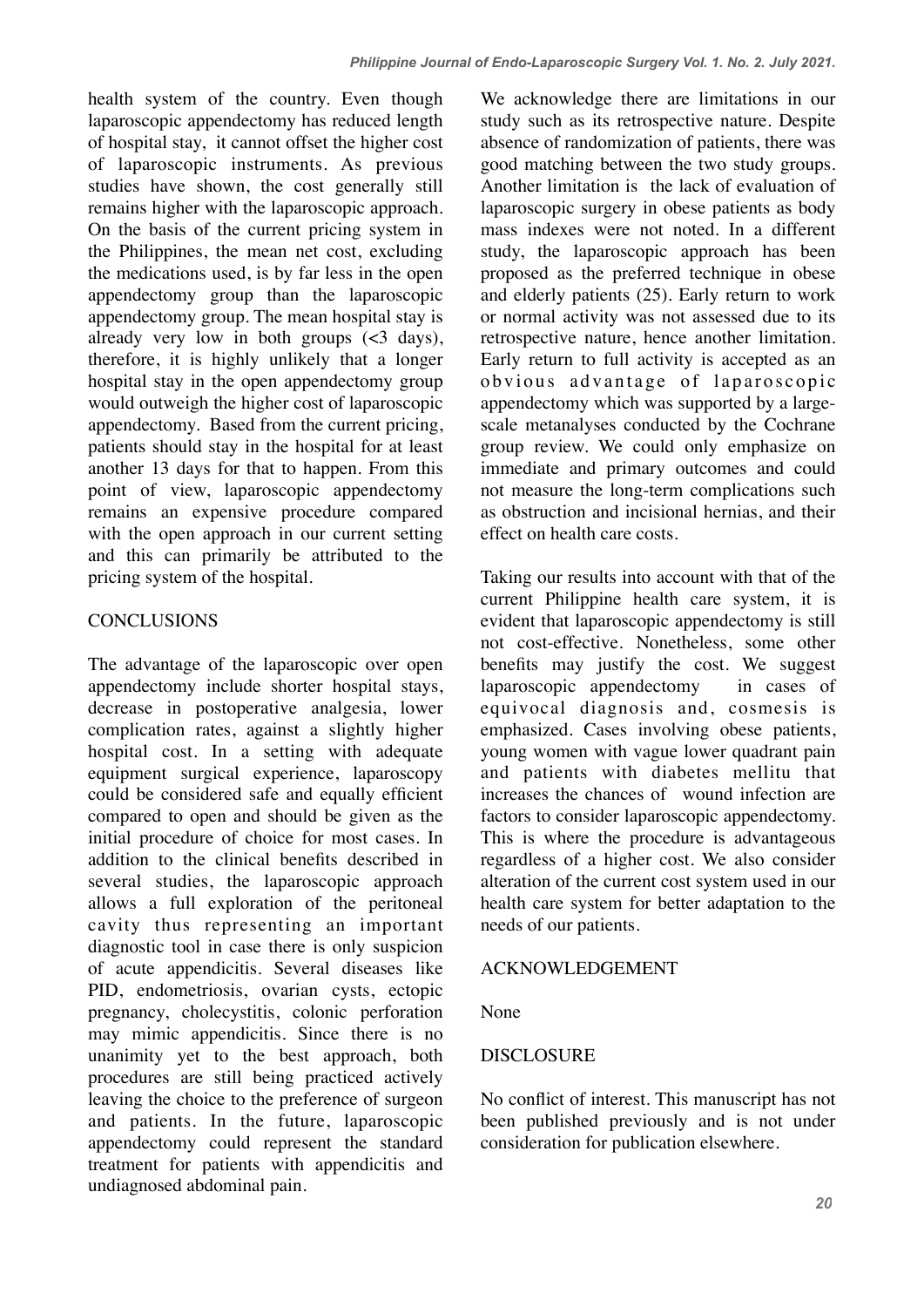health system of the country. Even though laparoscopic appendectomy has reduced length of hospital stay, it cannot offset the higher cost of laparoscopic instruments. As previous studies have shown, the cost generally still remains higher with the laparoscopic approach. On the basis of the current pricing system in the Philippines, the mean net cost, excluding the medications used, is by far less in the open appendectomy group than the laparoscopic appendectomy group. The mean hospital stay is already very low in both groups  $\left(\frac{3}{3} \text{ days}\right)$ , therefore, it is highly unlikely that a longer hospital stay in the open appendectomy group would outweigh the higher cost of laparoscopic appendectomy. Based from the current pricing, patients should stay in the hospital for at least another 13 days for that to happen. From this point of view, laparoscopic appendectomy remains an expensive procedure compared with the open approach in our current setting and this can primarily be attributed to the pricing system of the hospital.

### **CONCLUSIONS**

The advantage of the laparoscopic over open appendectomy include shorter hospital stays, decrease in postoperative analgesia, lower complication rates, against a slightly higher hospital cost. In a setting with adequate equipment surgical experience, laparoscopy could be considered safe and equally efficient compared to open and should be given as the initial procedure of choice for most cases. In addition to the clinical benefits described in several studies, the laparoscopic approach allows a full exploration of the peritoneal cavity thus representing an important diagnostic tool in case there is only suspicion of acute appendicitis. Several diseases like PID, endometriosis, ovarian cysts, ectopic pregnancy, cholecystitis, colonic perforation may mimic appendicitis. Since there is no unanimity yet to the best approach, both procedures are still being practiced actively leaving the choice to the preference of surgeon and patients. In the future, laparoscopic appendectomy could represent the standard treatment for patients with appendicitis and undiagnosed abdominal pain.

We acknowledge there are limitations in our study such as its retrospective nature. Despite absence of randomization of patients, there was good matching between the two study groups. Another limitation is the lack of evaluation of laparoscopic surgery in obese patients as body mass indexes were not noted. In a different study, the laparoscopic approach has been proposed as the preferred technique in obese and elderly patients (25). Early return to work or normal activity was not assessed due to its retrospective nature, hence another limitation. Early return to full activity is accepted as an obvious advantage of laparoscopic appendectomy which was supported by a largescale metanalyses conducted by the Cochrane group review. We could only emphasize on immediate and primary outcomes and could not measure the long-term complications such as obstruction and incisional hernias, and their effect on health care costs.

Taking our results into account with that of the current Philippine health care system, it is evident that laparoscopic appendectomy is still not cost-effective. Nonetheless, some other benefits may justify the cost. We suggest laparoscopic appendectomy in cases of equivocal diagnosis and, cosmesis is emphasized. Cases involving obese patients, young women with vague lower quadrant pain and patients with diabetes mellitu that increases the chances of wound infection are factors to consider laparoscopic appendectomy. This is where the procedure is advantageous regardless of a higher cost. We also consider alteration of the current cost system used in our health care system for better adaptation to the needs of our patients.

### ACKNOWLEDGEMENT

None

### DISCLOSURE

No conflict of interest. This manuscript has not been published previously and is not under consideration for publication elsewhere.